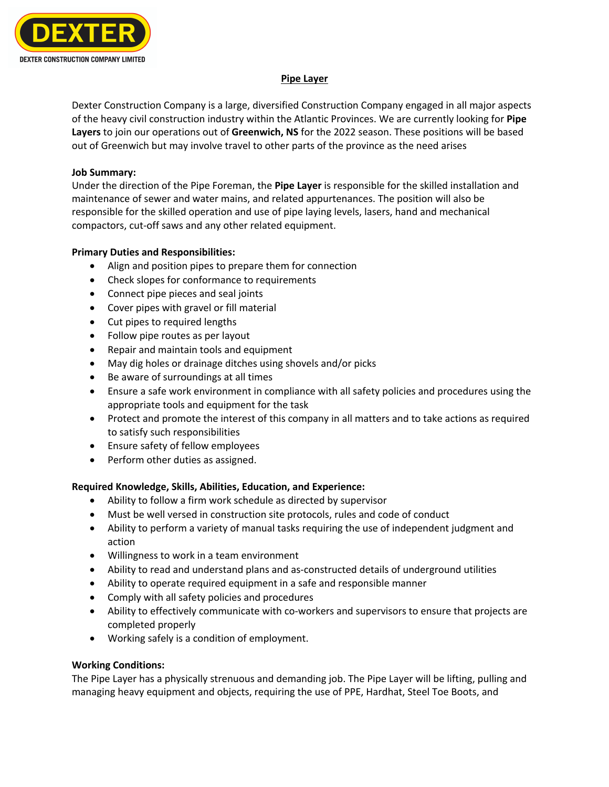

# **Pipe Layer**

Dexter Construction Company is a large, diversified Construction Company engaged in all major aspects of the heavy civil construction industry within the Atlantic Provinces. We are currently looking for **Pipe Layers** to join our operations out of **Greenwich, NS** for the 2022 season. These positions will be based out of Greenwich but may involve travel to other parts of the province as the need arises

## **Job Summary:**

Under the direction of the Pipe Foreman, the **Pipe Layer** is responsible for the skilled installation and maintenance of sewer and water mains, and related appurtenances. The position will also be responsible for the skilled operation and use of pipe laying levels, lasers, hand and mechanical compactors, cut-off saws and any other related equipment.

### **Primary Duties and Responsibilities:**

- Align and position pipes to prepare them for connection
- Check slopes for conformance to requirements
- Connect pipe pieces and seal joints
- Cover pipes with gravel or fill material
- Cut pipes to required lengths
- Follow pipe routes as per layout
- Repair and maintain tools and equipment
- May dig holes or drainage ditches using shovels and/or picks
- Be aware of surroundings at all times
- Ensure a safe work environment in compliance with all safety policies and procedures using the appropriate tools and equipment for the task
- Protect and promote the interest of this company in all matters and to take actions as required to satisfy such responsibilities
- Ensure safety of fellow employees
- Perform other duties as assigned.

# **Required Knowledge, Skills, Abilities, Education, and Experience:**

- Ability to follow a firm work schedule as directed by supervisor
- Must be well versed in construction site protocols, rules and code of conduct
- Ability to perform a variety of manual tasks requiring the use of independent judgment and action
- Willingness to work in a team environment
- Ability to read and understand plans and as-constructed details of underground utilities
- Ability to operate required equipment in a safe and responsible manner
- Comply with all safety policies and procedures
- Ability to effectively communicate with co-workers and supervisors to ensure that projects are completed properly
- Working safely is a condition of employment.

# **Working Conditions:**

The Pipe Layer has a physically strenuous and demanding job. The Pipe Layer will be lifting, pulling and managing heavy equipment and objects, requiring the use of PPE, Hardhat, Steel Toe Boots, and